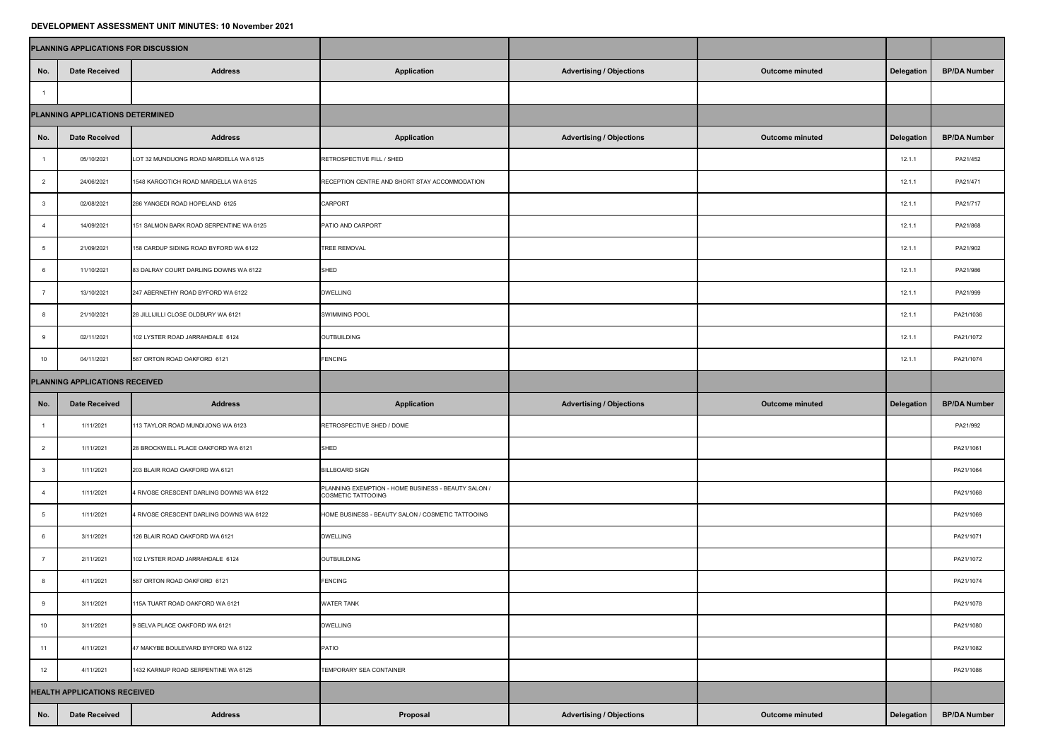## **DEVELOPMENT ASSESSMENT UNIT MINUTES: 10 November 2021**

|                                | PLANNING APPLICATIONS FOR DISCUSSION |                                         |                                                                           |                                 |                        |                   |                     |
|--------------------------------|--------------------------------------|-----------------------------------------|---------------------------------------------------------------------------|---------------------------------|------------------------|-------------------|---------------------|
| No.                            | <b>Date Received</b>                 | <b>Address</b>                          | <b>Application</b>                                                        | <b>Advertising / Objections</b> | <b>Outcome minuted</b> | <b>Delegation</b> | <b>BP/DA Number</b> |
|                                |                                      |                                         |                                                                           |                                 |                        |                   |                     |
|                                | PLANNING APPLICATIONS DETERMINED     |                                         |                                                                           |                                 |                        |                   |                     |
| No.                            | <b>Date Received</b>                 | <b>Address</b>                          | <b>Application</b>                                                        | <b>Advertising / Objections</b> | <b>Outcome minuted</b> | <b>Delegation</b> | <b>BP/DA Number</b> |
|                                | 05/10/2021                           | LOT 32 MUNDIJONG ROAD MARDELLA WA 6125  | RETROSPECTIVE FILL / SHED                                                 |                                 |                        | 12.1.1            | PA21/452            |
| $\overline{2}$                 | 24/06/2021                           | 1548 KARGOTICH ROAD MARDELLA WA 6125    | RECEPTION CENTRE AND SHORT STAY ACCOMMODATION                             |                                 |                        | 12.1.1            | PA21/471            |
|                                | 02/08/2021                           | 286 YANGEDI ROAD HOPELAND 6125          | <b>CARPORT</b>                                                            |                                 |                        | 12.1.1            | PA21/717            |
|                                | 14/09/2021                           | 151 SALMON BARK ROAD SERPENTINE WA 6125 | <b>PATIO AND CARPORT</b>                                                  |                                 |                        | 12.1.1            | PA21/868            |
|                                | 21/09/2021                           | 158 CARDUP SIDING ROAD BYFORD WA 6122   | TREE REMOVAL                                                              |                                 |                        | 12.1.1            | PA21/902            |
|                                | 11/10/2021                           | 83 DALRAY COURT DARLING DOWNS WA 6122   | SHED                                                                      |                                 |                        | 12.1.1            | PA21/986            |
|                                | 13/10/2021                           | 247 ABERNETHY ROAD BYFORD WA 6122       | <b>DWELLING</b>                                                           |                                 |                        | 12.1.1            | PA21/999            |
|                                | 21/10/2021                           | 28 JILLIJILLI CLOSE OLDBURY WA 6121     | <b>SWIMMING POOL</b>                                                      |                                 |                        | 12.1.1            | PA21/1036           |
|                                | 02/11/2021                           | 102 LYSTER ROAD JARRAHDALE 6124         | OUTBUILDING                                                               |                                 |                        | 12.1.1            | PA21/1072           |
| 10                             | 04/11/2021                           | 567 ORTON ROAD OAKFORD 6121             | <b>FENCING</b>                                                            |                                 |                        | 12.1.1            | PA21/1074           |
| PLANNING APPLICATIONS RECEIVED |                                      |                                         |                                                                           |                                 |                        |                   |                     |
|                                |                                      |                                         |                                                                           |                                 |                        |                   |                     |
| No.                            | <b>Date Received</b>                 | <b>Address</b>                          | <b>Application</b>                                                        | <b>Advertising / Objections</b> | <b>Outcome minuted</b> | Delegation        | <b>BP/DA Number</b> |
|                                | 1/11/2021                            | 113 TAYLOR ROAD MUNDIJONG WA 6123       | RETROSPECTIVE SHED / DOME                                                 |                                 |                        |                   | PA21/992            |
| $\overline{2}$                 | 1/11/2021                            | 28 BROCKWELL PLACE OAKFORD WA 6121      | SHED                                                                      |                                 |                        |                   | PA21/1061           |
| $\overline{\mathbf{3}}$        | 1/11/2021                            | 203 BLAIR ROAD OAKFORD WA 6121          | <b>BILLBOARD SIGN</b>                                                     |                                 |                        |                   | PA21/1064           |
|                                | 1/11/2021                            | 4 RIVOSE CRESCENT DARLING DOWNS WA 6122 | PLANNING EXEMPTION - HOME BUSINESS - BEAUTY SALON /<br>COSMETIC TATTOOING |                                 |                        |                   | PA21/1068           |
| - 5                            | 1/11/2021                            | 4 RIVOSE CRESCENT DARLING DOWNS WA 6122 | HOME BUSINESS - BEAUTY SALON / COSMETIC TATTOOING                         |                                 |                        |                   | PA21/1069           |
| - 6                            | 3/11/2021                            | 126 BLAIR ROAD OAKFORD WA 6121          | <b>DWELLING</b>                                                           |                                 |                        |                   | PA21/1071           |
|                                | 2/11/2021                            | 102 LYSTER ROAD JARRAHDALE 6124         | OUTBUILDING                                                               |                                 |                        |                   | PA21/1072           |
| 8                              | 4/11/2021                            | 567 ORTON ROAD OAKFORD 6121             | <b>FENCING</b>                                                            |                                 |                        |                   | PA21/1074           |
| 9                              | 3/11/2021                            | 115A TUART ROAD OAKFORD WA 6121         | <b>WATER TANK</b>                                                         |                                 |                        |                   | PA21/1078           |
| 10                             | 3/11/2021                            | 9 SELVA PLACE OAKFORD WA 6121           | <b>DWELLING</b>                                                           |                                 |                        |                   | PA21/1080           |
| 11                             | 4/11/2021                            | 47 MAKYBE BOULEVARD BYFORD WA 6122      | PATIO                                                                     |                                 |                        |                   | PA21/1082           |
| 12                             | 4/11/2021                            | 1432 KARNUP ROAD SERPENTINE WA 6125     | TEMPORARY SEA CONTAINER                                                   |                                 |                        |                   | PA21/1086           |
|                                | <b>HEALTH APPLICATIONS RECEIVED</b>  |                                         |                                                                           |                                 |                        |                   |                     |